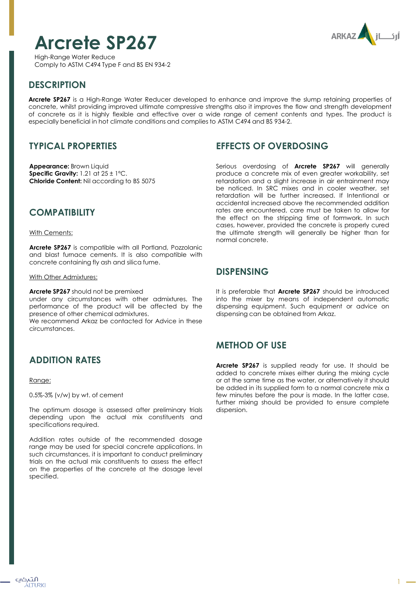# **Arcrete SP267**



High-Range Water Reduce Comply to ASTM C494 Type F and BS EN 934-2

# **DESCRIPTION**

**Arcrete SP267** is a High-Range Water Reducer developed to enhance and improve the slump retaining properties of concrete, whilst providing improved ultimate compressive strengths also it improves the flow and strength development of concrete as it is highly flexible and effective over a wide range of cement contents and types. The product is especially beneficial in hot climate conditions and complies to ASTM C494 and BS 934-2.

## **TYPICAL PROPERTIES**

**Appearance:** Brown Liquid **Specific Gravity:** 1.21 at 25 ± 1ºC. **Chloride Content:** Nil according to BS 5075

## **COMPATIBILITY**

#### With Cements:

**Arcrete SP267** is compatible with all Portland, Pozzolanic and blast furnace cements. It is also compatible with concrete containing fly ash and silica fume.

#### With Other Admixtures:

**Arcrete SP267** should not be premixed

under any circumstances with other admixtures. The performance of the product will be affected by the presence of other chemical admixtures.

We recommend Arkaz be contacted for Advice in these circumstances.

# **ADDITION RATES**

#### Range:

0.5%-3% (v/w) by wt. of cement

The optimum dosage is assessed after preliminary trials depending upon the actual mix constituents and specifications required.

Addition rates outside of the recommended dosage range may be used for special concrete applications. In such circumstances, it is important to conduct preliminary trials on the actual mix constituents to assess the effect on the properties of the concrete at the dosage level specified.

#### **EFFECTS OF OVERDOSING**

Serious overdosing of **Arcrete SP267** will generally produce a concrete mix of even greater workability, set retardation and a slight increase in air entrainment may be noticed. In SRC mixes and in cooler weather, set retardation will be further increased. If Intentional or accidental increased above the recommended addition rates are encountered, care must be taken to allow for the effect on the stripping time of formwork. In such cases, however, provided the concrete is properly cured the ultimate strength will generally be higher than for normal concrete.

## **DISPENSING**

It is preferable that **Arcrete SP267** should be introduced into the mixer by means of independent automatic dispensing equipment. Such equipment or advice on dispensing can be obtained from Arkaz.

## **METHOD OF USE**

**Arcrete SP267** is supplied ready for use. It should be added to concrete mixes either during the mixing cycle or at the same time as the water, or alternatively it should be added in its supplied form to a normal concrete mix a few minutes before the pour is made. In the latter case, further mixing should be provided to ensure complete dispersion.